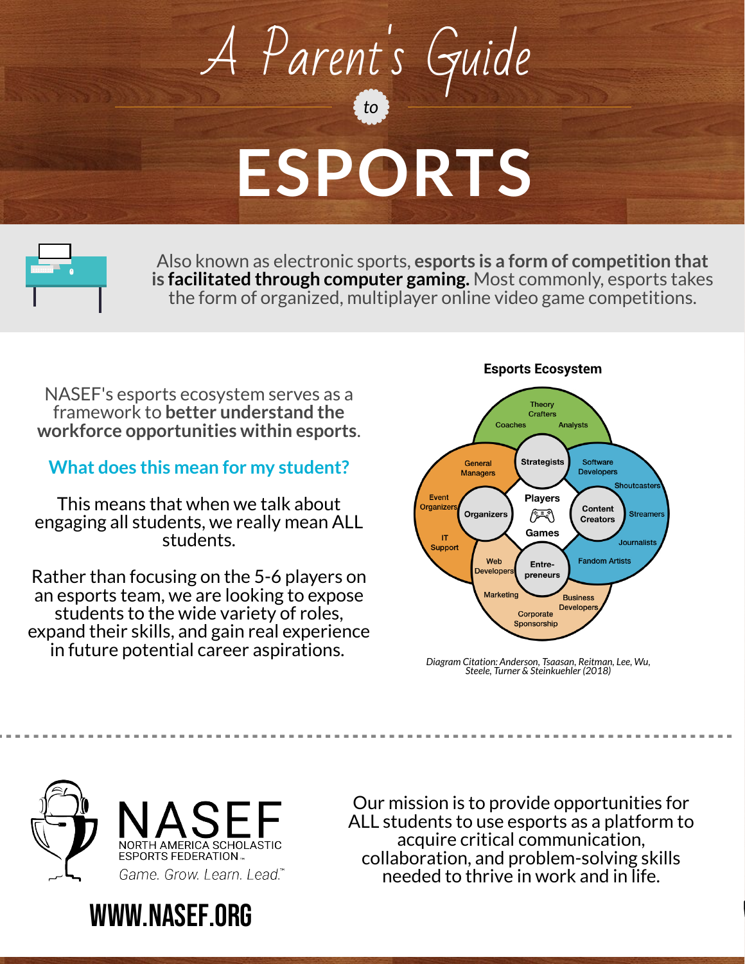## *to* A Parent's Guide **ESPORTS**



Also known as electronic sports, **esports is a form of competition that is facilitated through computer gaming.** Most commonly, esports takes the form of organized, multiplayer online video game competitions.

NASEF's esports ecosystem serves as a framework to **better understand the workforce opportunities within esports**.

## **What does this mean for my student?**

This means that when we talk about engaging all students, we really mean ALL students.

Rather than focusing on the 5-6 players on an esports team, we are looking to expose students to the wide variety of roles, expand their skills, and gain real experience in future potential career aspirations.

## **Esports Ecosystem**



*Diagram Citation: Anderson, Tsaasan, Reitman, Lee, Wu, Steele, Turner & Steinkuehler (2018)*



www.NASEF.org

Our mission is to provide opportunities for ALL students to use esports as a platform to acquire critical communication, collaboration, and problem-solving skills needed to thrive in work and in life.